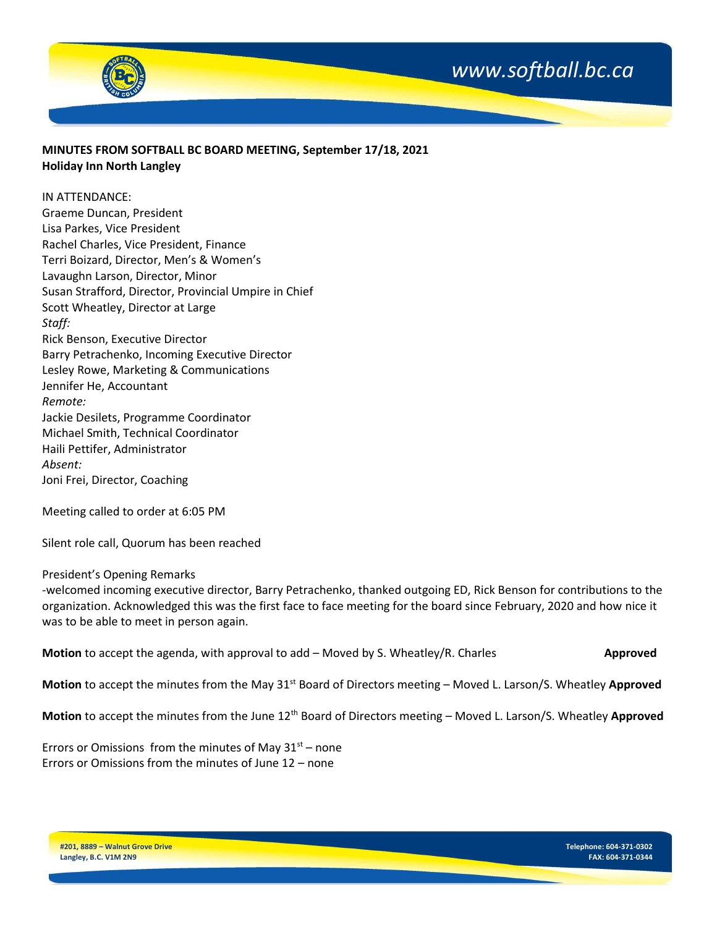

### **MINUTES FROM SOFTBALL BC BOARD MEETING, September 17/18, 2021 Holiday Inn North Langley**

#### IN ATTENDANCE:

Graeme Duncan, President Lisa Parkes, Vice President Rachel Charles, Vice President, Finance Terri Boizard, Director, Men's & Women's Lavaughn Larson, Director, Minor Susan Strafford, Director, Provincial Umpire in Chief Scott Wheatley, Director at Large *Staff:* Rick Benson, Executive Director Barry Petrachenko, Incoming Executive Director Lesley Rowe, Marketing & Communications Jennifer He, Accountant *Remote:* Jackie Desilets, Programme Coordinator Michael Smith, Technical Coordinator Haili Pettifer, Administrator *Absent:*  Joni Frei, Director, Coaching

Meeting called to order at 6:05 PM

Silent role call, Quorum has been reached

#### President's Opening Remarks

-welcomed incoming executive director, Barry Petrachenko, thanked outgoing ED, Rick Benson for contributions to the organization. Acknowledged this was the first face to face meeting for the board since February, 2020 and how nice it was to be able to meet in person again.

**Motion** to accept the agenda, with approval to add – Moved by S. Wheatley/R. Charles **Approved** 

**Motion** to accept the minutes from the May 31<sup>st</sup> Board of Directors meeting – Moved L. Larson/S. Wheatley **Approved** 

**Motion** to accept the minutes from the June 12th Board of Directors meeting – Moved L. Larson/S. Wheatley **Approved**

Errors or Omissions from the minutes of May  $31<sup>st</sup>$  – none Errors or Omissions from the minutes of June 12 – none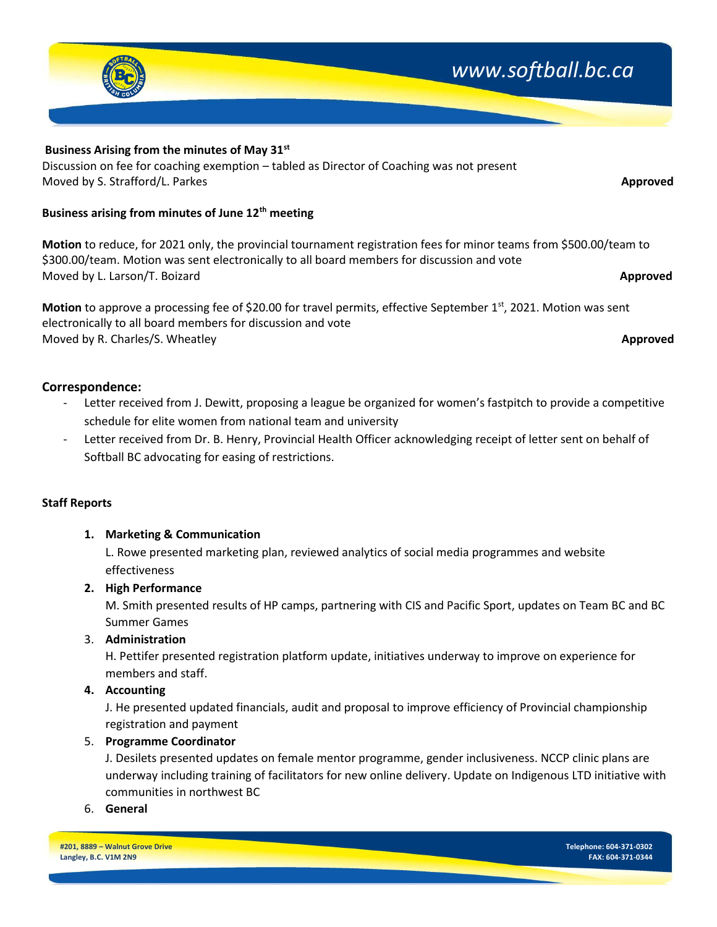### **Staff Reports**

### **1. Marketing & Communication**

L. Rowe presented marketing plan, reviewed analytics of social media programmes and website effectiveness

### **2. High Performance**

M. Smith presented results of HP camps, partnering with CIS and Pacific Sport, updates on Team BC and BC Summer Games

### 3. **Administration**

H. Pettifer presented registration platform update, initiatives underway to improve on experience for members and staff.

### **4. Accounting**

J. He presented updated financials, audit and proposal to improve efficiency of Provincial championship registration and payment

### 5. **Programme Coordinator**

J. Desilets presented updates on female mentor programme, gender inclusiveness. NCCP clinic plans are underway including training of facilitators for new online delivery. Update on Indigenous LTD initiative with communities in northwest BC

### 6. **General**

**#201, 8889 – Walnut Grove Drive Langley, B.C. V1M 2N9**

## **Business Arising from the minutes of May 31st**

Discussion on fee for coaching exemption – tabled as Director of Coaching was not present Moved by S. Strafford/L. Parkes **Approved**

## **Business arising from minutes of June 12th meeting**

**Motion** to reduce, for 2021 only, the provincial tournament registration fees for minor teams from \$500.00/team to \$300.00/team. Motion was sent electronically to all board members for discussion and vote Moved by L. Larson/T. Boizard **Approved**

**Motion** to approve a processing fee of \$20.00 for travel permits, effective September 1<sup>st</sup>, 2021. Motion was sent electronically to all board members for discussion and vote Moved by R. Charles/S. Wheatley **Approved**

# **Correspondence:**

- Letter received from J. Dewitt, proposing a league be organized for women's fastpitch to provide a competitive schedule for elite women from national team and university
- Letter received from Dr. B. Henry, Provincial Health Officer acknowledging receipt of letter sent on behalf of Softball BC advocating for easing of restrictions.

# *www.softball.bc.ca*

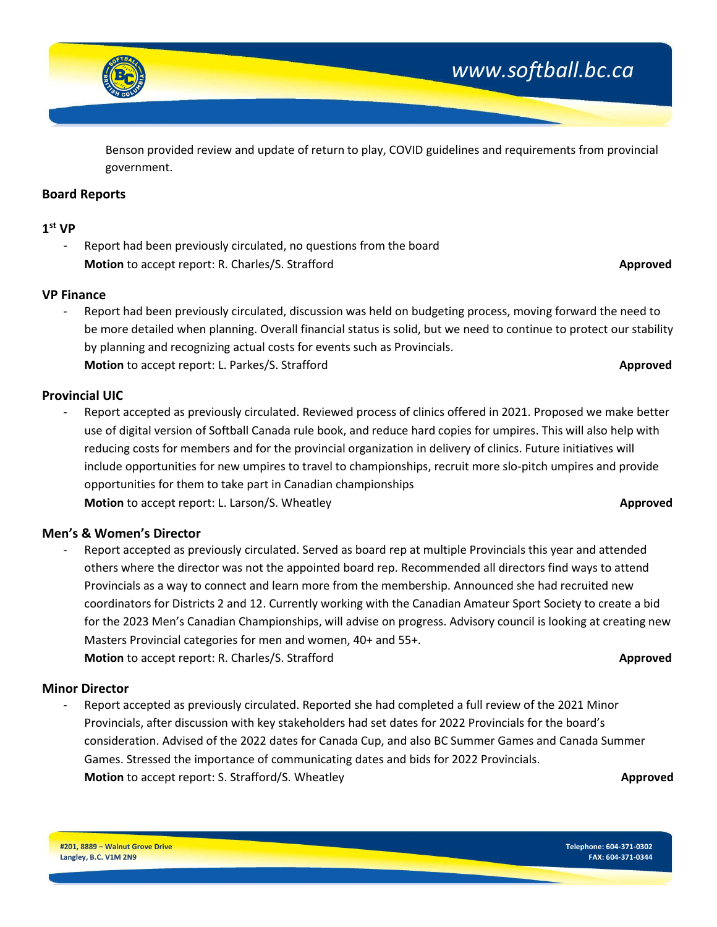

Benson provided review and update of return to play, COVID guidelines and requirements from provincial government.

#### **Board Reports**

### **1 st VP**

Report had been previously circulated, no questions from the board **Motion** to accept report: R. Charles/S. Strafford **Approved Approved Approved Approved** 

#### **VP Finance**

- Report had been previously circulated, discussion was held on budgeting process, moving forward the need to be more detailed when planning. Overall financial status is solid, but we need to continue to protect our stability by planning and recognizing actual costs for events such as Provincials. **Motion** to accept report: L. Parkes/S. Strafford **Approved**

#### **Provincial UIC**

Report accepted as previously circulated. Reviewed process of clinics offered in 2021. Proposed we make better use of digital version of Softball Canada rule book, and reduce hard copies for umpires. This will also help with reducing costs for members and for the provincial organization in delivery of clinics. Future initiatives will include opportunities for new umpires to travel to championships, recruit more slo-pitch umpires and provide opportunities for them to take part in Canadian championships **Motion** to accept report: L. Larson/S. Wheatley **Approved Approved Approved Approved** 

#### **Men's & Women's Director**

- Report accepted as previously circulated. Served as board rep at multiple Provincials this year and attended others where the director was not the appointed board rep. Recommended all directors find ways to attend Provincials as a way to connect and learn more from the membership. Announced she had recruited new coordinators for Districts 2 and 12. Currently working with the Canadian Amateur Sport Society to create a bid for the 2023 Men's Canadian Championships, will advise on progress. Advisory council is looking at creating new Masters Provincial categories for men and women, 40+ and 55+. **Motion** to accept report: R. Charles/S. Strafford **Approved Approved Approved** 

#### **Minor Director**

- Report accepted as previously circulated. Reported she had completed a full review of the 2021 Minor Provincials, after discussion with key stakeholders had set dates for 2022 Provincials for the board's consideration. Advised of the 2022 dates for Canada Cup, and also BC Summer Games and Canada Summer Games. Stressed the importance of communicating dates and bids for 2022 Provincials. **Motion** to accept report: S. Strafford/S. Wheatley **Approved Approved Approved Approved**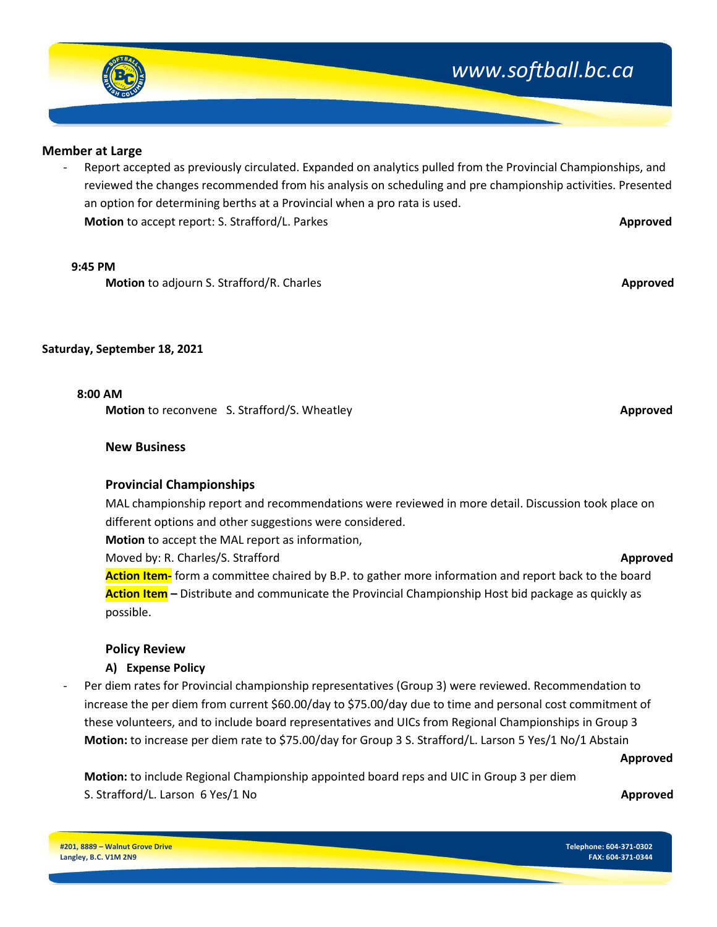

#### **Member at Large**

Report accepted as previously circulated. Expanded on analytics pulled from the Provincial Championships, and reviewed the changes recommended from his analysis on scheduling and pre championship activities. Presented an option for determining berths at a Provincial when a pro rata is used. **Motion** to accept report: S. Strafford/L. Parkes **Approved Approved Approved Approved** 

#### **9:45 PM**

**Motion** to adjourn S. Strafford/R. Charles **Approved Approved Approved Approved Approved Approved Approved** 

#### **Saturday, September 18, 2021**

#### **8:00 AM**

**Motion** to reconvene S. Strafford/S. Wheatley **Approved Approved** 

#### **New Business**

#### **Provincial Championships**

MAL championship report and recommendations were reviewed in more detail. Discussion took place on different options and other suggestions were considered.

**Motion** to accept the MAL report as information,

Moved by: R. Charles/S. Strafford **Approved**

**Action Item-** form a committee chaired by B.P. to gather more information and report back to the board **Action Item –** Distribute and communicate the Provincial Championship Host bid package as quickly as possible.

### **Policy Review**

### **A) Expense Policy**

Per diem rates for Provincial championship representatives (Group 3) were reviewed. Recommendation to increase the per diem from current \$60.00/day to \$75.00/day due to time and personal cost commitment of these volunteers, and to include board representatives and UICs from Regional Championships in Group 3 **Motion:** to increase per diem rate to \$75.00/day for Group 3 S. Strafford/L. Larson 5 Yes/1 No/1 Abstain

**Approved**

**Motion:** to include Regional Championship appointed board reps and UIC in Group 3 per diem S. Strafford/L. Larson 6 Yes/1 No **Approved**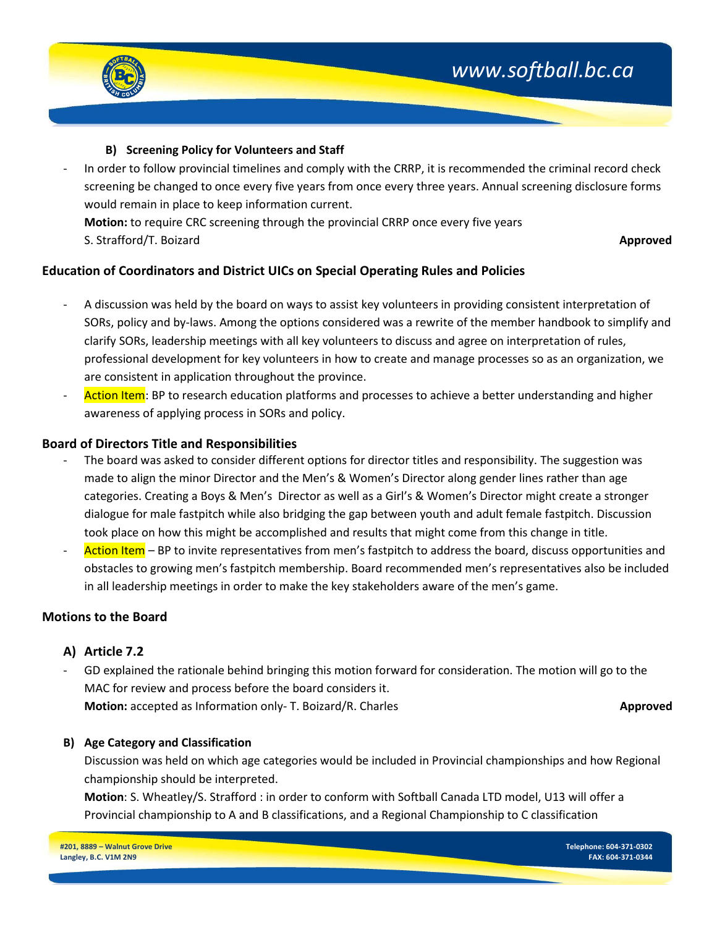

### **B) Screening Policy for Volunteers and Staff**

In order to follow provincial timelines and comply with the CRRP, it is recommended the criminal record check screening be changed to once every five years from once every three years. Annual screening disclosure forms would remain in place to keep information current. **Motion:** to require CRC screening through the provincial CRRP once every five years S. Strafford/T. Boizard **Approved**

### **Education of Coordinators and District UICs on Special Operating Rules and Policies**

- A discussion was held by the board on ways to assist key volunteers in providing consistent interpretation of SORs, policy and by-laws. Among the options considered was a rewrite of the member handbook to simplify and clarify SORs, leadership meetings with all key volunteers to discuss and agree on interpretation of rules, professional development for key volunteers in how to create and manage processes so as an organization, we are consistent in application throughout the province.
- Action Item: BP to research education platforms and processes to achieve a better understanding and higher awareness of applying process in SORs and policy.

### **Board of Directors Title and Responsibilities**

- The board was asked to consider different options for director titles and responsibility. The suggestion was made to align the minor Director and the Men's & Women's Director along gender lines rather than age categories. Creating a Boys & Men's Director as well as a Girl's & Women's Director might create a stronger dialogue for male fastpitch while also bridging the gap between youth and adult female fastpitch. Discussion took place on how this might be accomplished and results that might come from this change in title.
- Action Item BP to invite representatives from men's fastpitch to address the board, discuss opportunities and obstacles to growing men's fastpitch membership. Board recommended men's representatives also be included in all leadership meetings in order to make the key stakeholders aware of the men's game.

### **Motions to the Board**

### **A) Article 7.2**

GD explained the rationale behind bringing this motion forward for consideration. The motion will go to the MAC for review and process before the board considers it. **Motion:** accepted as Information only- T. Boizard/R. Charles **Approved Approved** 

### **B) Age Category and Classification**

Discussion was held on which age categories would be included in Provincial championships and how Regional championship should be interpreted.

**Motion**: S. Wheatley/S. Strafford : in order to conform with Softball Canada LTD model, U13 will offer a Provincial championship to A and B classifications, and a Regional Championship to C classification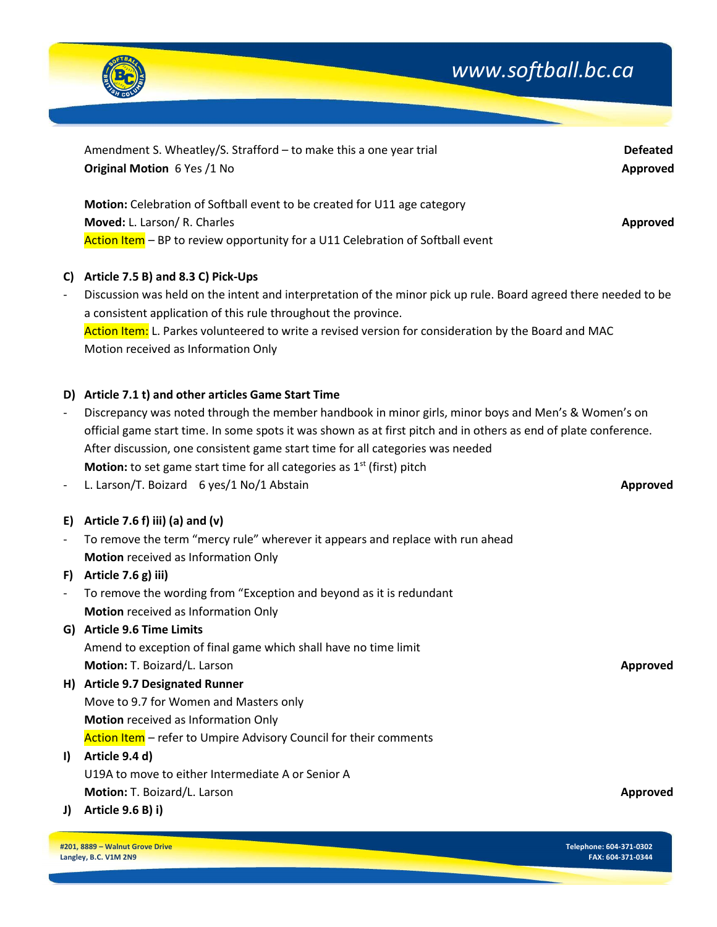

|                          | Amendment S. Wheatley/S. Strafford - to make this a one year trial                                               | <b>Defeated</b> |
|--------------------------|------------------------------------------------------------------------------------------------------------------|-----------------|
|                          | Original Motion 6 Yes /1 No                                                                                      | Approved        |
|                          |                                                                                                                  |                 |
|                          | Motion: Celebration of Softball event to be created for U11 age category                                         |                 |
|                          | Moved: L. Larson/ R. Charles                                                                                     | Approved        |
|                          | Action Item - BP to review opportunity for a U11 Celebration of Softball event                                   |                 |
|                          |                                                                                                                  |                 |
| C)                       | Article 7.5 B) and 8.3 C) Pick-Ups                                                                               |                 |
| $\overline{\phantom{a}}$ | Discussion was held on the intent and interpretation of the minor pick up rule. Board agreed there needed to be  |                 |
|                          | a consistent application of this rule throughout the province.                                                   |                 |
|                          | Action Item: L. Parkes volunteered to write a revised version for consideration by the Board and MAC             |                 |
|                          | Motion received as Information Only                                                                              |                 |
|                          |                                                                                                                  |                 |
|                          | D) Article 7.1 t) and other articles Game Start Time                                                             |                 |
| $\overline{\phantom{a}}$ | Discrepancy was noted through the member handbook in minor girls, minor boys and Men's & Women's on              |                 |
|                          | official game start time. In some spots it was shown as at first pitch and in others as end of plate conference. |                 |
|                          | After discussion, one consistent game start time for all categories was needed                                   |                 |
|                          | <b>Motion:</b> to set game start time for all categories as $1st$ (first) pitch                                  |                 |
| $\overline{\phantom{a}}$ | L. Larson/T. Boizard 6 yes/1 No/1 Abstain                                                                        | <b>Approved</b> |
|                          |                                                                                                                  |                 |
| E)                       | Article 7.6 f) iii) (a) and (v)                                                                                  |                 |
| $\blacksquare$           | To remove the term "mercy rule" wherever it appears and replace with run ahead                                   |                 |
|                          | Motion received as Information Only                                                                              |                 |
| F)                       | Article 7.6 g) iii)                                                                                              |                 |
| $\overline{\phantom{a}}$ | To remove the wording from "Exception and beyond as it is redundant                                              |                 |
|                          | Motion received as Information Only                                                                              |                 |
|                          | G) Article 9.6 Time Limits                                                                                       |                 |
|                          | Amend to exception of final game which shall have no time limit                                                  |                 |
|                          | <b>Motion:</b> T. Boizard/L. Larson                                                                              | <b>Approved</b> |
|                          | H) Article 9.7 Designated Runner                                                                                 |                 |
|                          | Move to 9.7 for Women and Masters only                                                                           |                 |
|                          | Motion received as Information Only                                                                              |                 |
|                          | Action Item - refer to Umpire Advisory Council for their comments                                                |                 |
| $\vert$                  | Article 9.4 d)                                                                                                   |                 |
|                          | U19A to move to either Intermediate A or Senior A                                                                |                 |
|                          | Motion: T. Boizard/L. Larson                                                                                     | Approved        |
|                          |                                                                                                                  |                 |

**J) Article 9.6 B) i)**

**#201, 8889 – Walnut Grove Drive Langley, B.C. V1M 2N9**

**Telephone: 604-371-0302 FAX: 604-371-0344**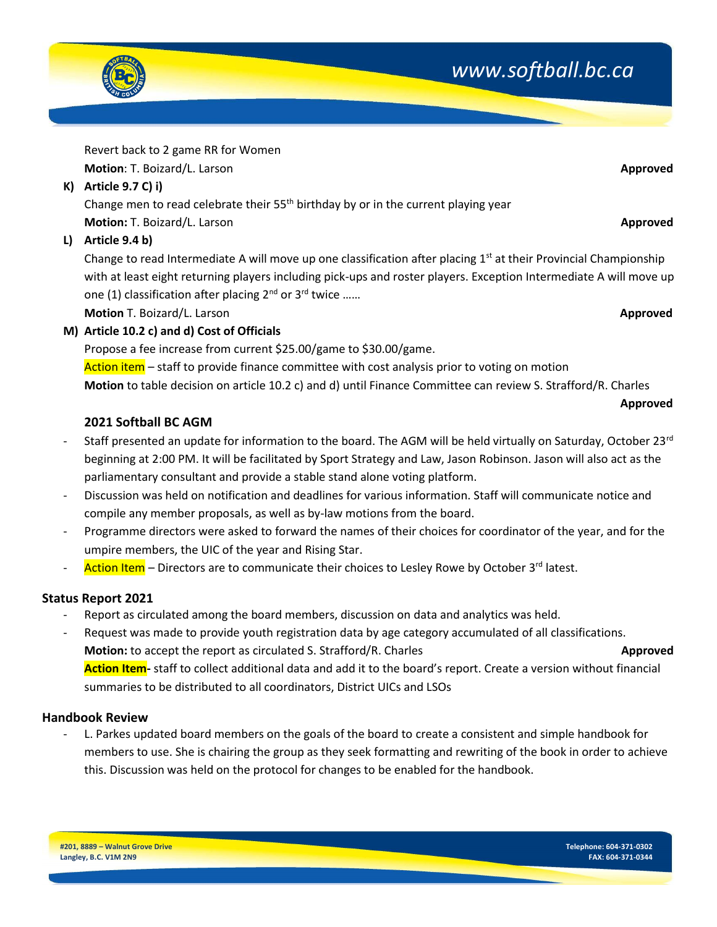

Revert back to 2 game RR for Women **Motion**: T. Boizard/L. Larson **Approved**

**K) Article 9.7 C) i)**

Change men to read celebrate their  $55<sup>th</sup>$  birthday by or in the current playing year **Motion:** T. Boizard/L. Larson **Approved**

**L) Article 9.4 b)**

Change to read Intermediate A will move up one classification after placing  $1<sup>st</sup>$  at their Provincial Championship with at least eight returning players including pick-ups and roster players. Exception Intermediate A will move up one (1) classification after placing  $2^{nd}$  or  $3^{rd}$  twice ......

**Motion** T. Boizard/L. Larson **Approved**

**M) Article 10.2 c) and d) Cost of Officials**

Propose a fee increase from current \$25.00/game to \$30.00/game.

Action item – staff to provide finance committee with cost analysis prior to voting on motion **Motion** to table decision on article 10.2 c) and d) until Finance Committee can review S. Strafford/R. Charles

# **2021 Softball BC AGM**

Staff presented an update for information to the board. The AGM will be held virtually on Saturday, October 23<sup>rd</sup> beginning at 2:00 PM. It will be facilitated by Sport Strategy and Law, Jason Robinson. Jason will also act as the parliamentary consultant and provide a stable stand alone voting platform.

**Approved**

- Discussion was held on notification and deadlines for various information. Staff will communicate notice and compile any member proposals, as well as by-law motions from the board.
- Programme directors were asked to forward the names of their choices for coordinator of the year, and for the umpire members, the UIC of the year and Rising Star.
- Action Item Directors are to communicate their choices to Lesley Rowe by October 3<sup>rd</sup> latest.

# **Status Report 2021**

- Report as circulated among the board members, discussion on data and analytics was held.
- Request was made to provide youth registration data by age category accumulated of all classifications. **Motion:** to accept the report as circulated S. Strafford/R. Charles **Approved Approved Action Item-** staff to collect additional data and add it to the board's report. Create a version without financial summaries to be distributed to all coordinators, District UICs and LSOs

## **Handbook Review**

L. Parkes updated board members on the goals of the board to create a consistent and simple handbook for members to use. She is chairing the group as they seek formatting and rewriting of the book in order to achieve this. Discussion was held on the protocol for changes to be enabled for the handbook.